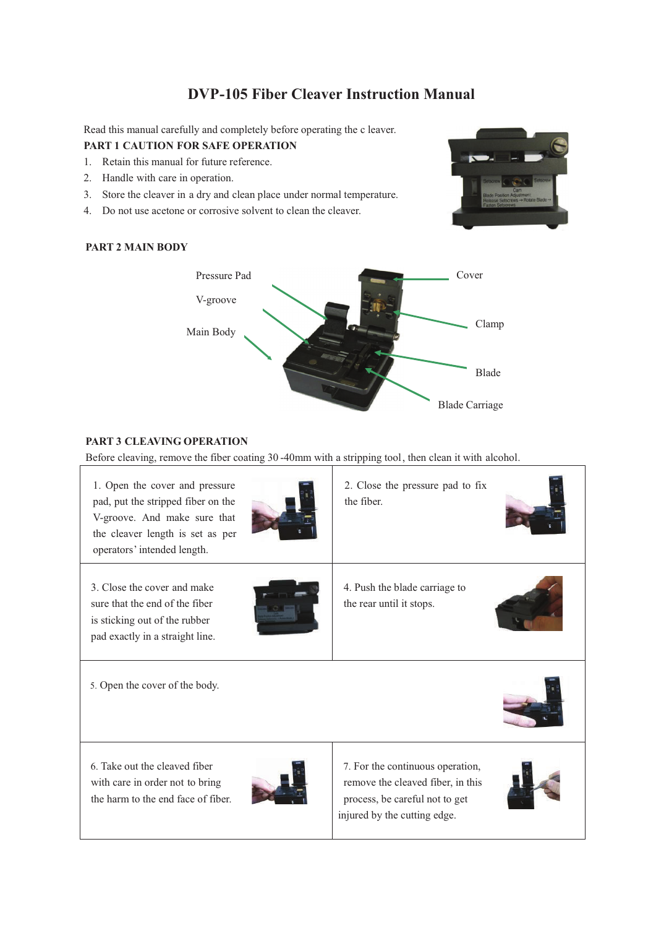# **DVP-105 Fiber Cleaver Instruction Manual**

Read this manual carefully and completely before operating the c leaver.

## **PART 1 CAUTION FOR SAFE OPERATION**

- 1. Retain this manual for future reference.
- 2. Handle with care in operation.
- 3. Store the cleaver in a dry and clean place under normal temperature.
- 4. Do not use acetone or corrosive solvent to clean the cleaver.

# **PART 2 MAIN BODY**



# **PART 3 CLEAVING OPERATION**

Before cleaving, remove the fiber coating 30 -40mm with a stripping tool, then clean it with alcohol.